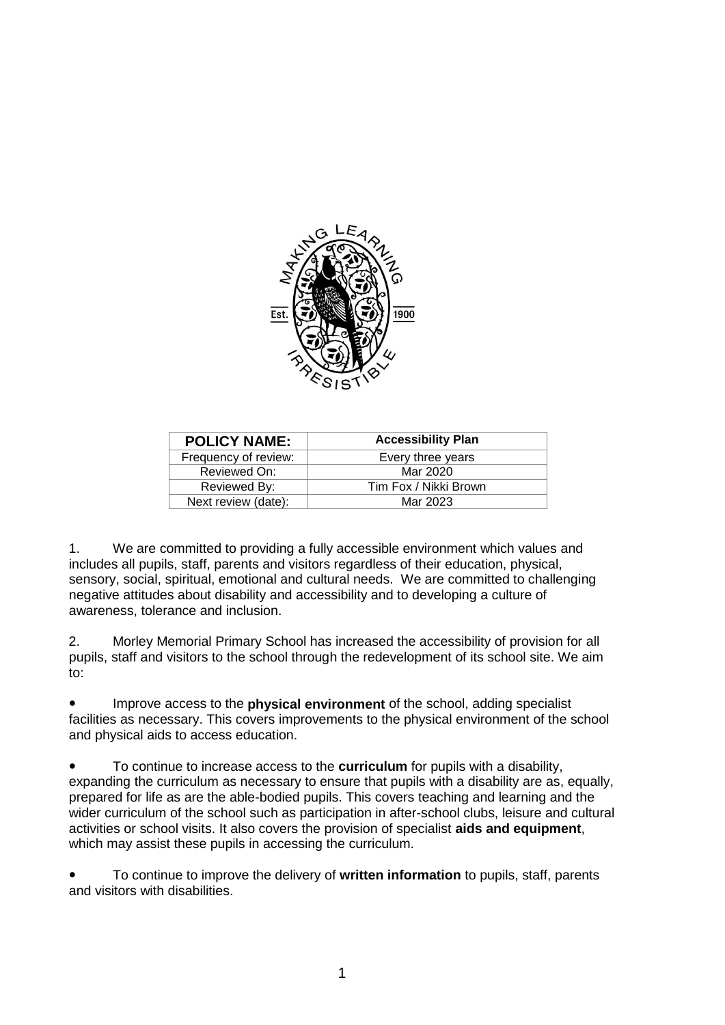

| <b>POLICY NAME:</b>  | <b>Accessibility Plan</b> |
|----------------------|---------------------------|
| Frequency of review: | Every three years         |
| Reviewed On:         | Mar 2020                  |
| Reviewed By:         | Tim Fox / Nikki Brown     |
| Next review (date):  | Mar 2023                  |

1. We are committed to providing a fully accessible environment which values and includes all pupils, staff, parents and visitors regardless of their education, physical, sensory, social, spiritual, emotional and cultural needs. We are committed to challenging negative attitudes about disability and accessibility and to developing a culture of awareness, tolerance and inclusion.

2. Morley Memorial Primary School has increased the accessibility of provision for all pupils, staff and visitors to the school through the redevelopment of its school site. We aim to:

● Improve access to the **physical environment** of the school, adding specialist facilities as necessary. This covers improvements to the physical environment of the school and physical aids to access education.

To continue to increase access to the **curriculum** for pupils with a disability, expanding the curriculum as necessary to ensure that pupils with a disability are as, equally, prepared for life as are the able-bodied pupils. This covers teaching and learning and the wider curriculum of the school such as participation in after-school clubs, leisure and cultural activities or school visits. It also covers the provision of specialist **aids and equipment**, which may assist these pupils in accessing the curriculum.

● To continue to improve the delivery of **written information** to pupils, staff, parents and visitors with disabilities.